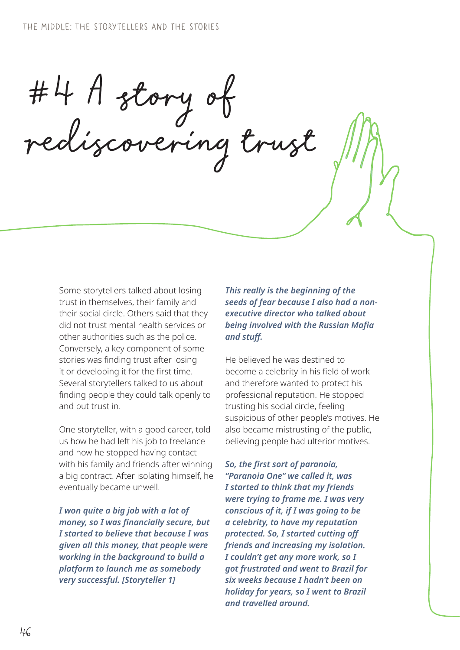#4 A story of rediscovering trust

Some storytellers talked about losing trust in themselves, their family and their social circle. Others said that they did not trust mental health services or other authorities such as the police. Conversely, a key component of some stories was finding trust after losing it or developing it for the first time. Several storytellers talked to us about finding people they could talk openly to and put trust in.

One storyteller, with a good career, told us how he had left his job to freelance and how he stopped having contact with his family and friends after winning a big contract. After isolating himself, he eventually became unwell.

*I won quite a big job with a lot of money, so I was financially secure, but I started to believe that because I was given all this money, that people were working in the background to build a platform to launch me as somebody very successful. [Storyteller 1]*

*This really is the beginning of the seeds of fear because I also had a nonexecutive director who talked about being involved with the Russian Mafia and stuff.*

He believed he was destined to become a celebrity in his field of work and therefore wanted to protect his professional reputation. He stopped trusting his social circle, feeling suspicious of other people's motives. He also became mistrusting of the public, believing people had ulterior motives.

*So, the first sort of paranoia, "Paranoia One" we called it, was I started to think that my friends were trying to frame me. I was very conscious of it, if I was going to be a celebrity, to have my reputation protected. So, I started cutting off friends and increasing my isolation. I couldn't get any more work, so I got frustrated and went to Brazil for six weeks because I hadn't been on holiday for years, so I went to Brazil and travelled around.*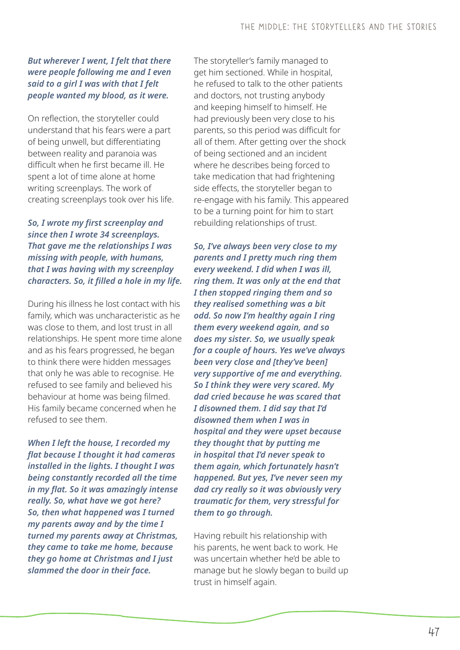## *But wherever I went, I felt that there were people following me and I even said to a girl I was with that I felt people wanted my blood, as it were.*

On reflection, the storyteller could understand that his fears were a part of being unwell, but differentiating between reality and paranoia was difficult when he first became ill. He spent a lot of time alone at home writing screenplays. The work of creating screenplays took over his life.

*So, I wrote my first screenplay and since then I wrote 34 screenplays. That gave me the relationships I was missing with people, with humans, that I was having with my screenplay characters. So, it filled a hole in my life.* 

During his illness he lost contact with his family, which was uncharacteristic as he was close to them, and lost trust in all relationships. He spent more time alone and as his fears progressed, he began to think there were hidden messages that only he was able to recognise. He refused to see family and believed his behaviour at home was being filmed. His family became concerned when he refused to see them.

*When I left the house, I recorded my flat because I thought it had cameras installed in the lights. I thought I was being constantly recorded all the time in my flat. So it was amazingly intense really. So, what have we got here? So, then what happened was I turned my parents away and by the time I turned my parents away at Christmas, they came to take me home, because they go home at Christmas and I just slammed the door in their face.*

The storyteller's family managed to get him sectioned. While in hospital, he refused to talk to the other patients and doctors, not trusting anybody and keeping himself to himself. He had previously been very close to his parents, so this period was difficult for all of them. After getting over the shock of being sectioned and an incident where he describes being forced to take medication that had frightening side effects, the storyteller began to re-engage with his family. This appeared to be a turning point for him to start rebuilding relationships of trust.

*So, I've always been very close to my parents and I pretty much ring them every weekend. I did when I was ill, ring them. It was only at the end that I then stopped ringing them and so they realised something was a bit odd. So now I'm healthy again I ring them every weekend again, and so does my sister. So, we usually speak for a couple of hours. Yes we've always been very close and [they've been] very supportive of me and everything. So I think they were very scared. My dad cried because he was scared that I disowned them. I did say that I'd disowned them when I was in hospital and they were upset because they thought that by putting me in hospital that I'd never speak to them again, which fortunately hasn't happened. But yes, I've never seen my dad cry really so it was obviously very traumatic for them, very stressful for them to go through.*

Having rebuilt his relationship with his parents, he went back to work. He was uncertain whether he'd be able to manage but he slowly began to build up trust in himself again.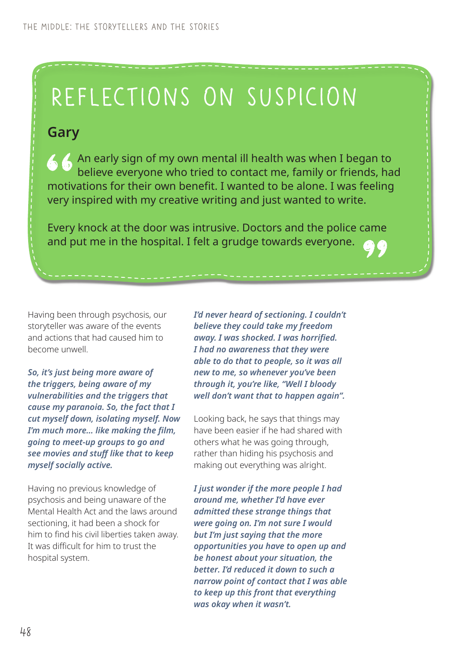## Reflections on suspicion

## **Gary**

An early sign of my own mental ill health was when I began to believe everyone who tried to contact me, family or friends, had motivations for their own benefit. I wanted to be alone. I was feeling very inspired with my creative writing and just wanted to write.

Every knock at the door was intrusive. Doctors and the police came and put me in the hospital. I felt a grudge towards everyone.

Having been through psychosis, our storyteller was aware of the events and actions that had caused him to become unwell.

*So, it's just being more aware of the triggers, being aware of my vulnerabilities and the triggers that cause my paranoia. So, the fact that I cut myself down, isolating myself. Now I'm much more… like making the film, going to meet-up groups to go and see movies and stuff like that to keep myself socially active.* 

Having no previous knowledge of psychosis and being unaware of the Mental Health Act and the laws around sectioning, it had been a shock for him to find his civil liberties taken away. It was difficult for him to trust the hospital system.

*I'd never heard of sectioning. I couldn't believe they could take my freedom away. I was shocked. I was horrified. I had no awareness that they were able to do that to people, so it was all new to me, so whenever you've been through it, you're like, "Well I bloody well don't want that to happen again".*

Looking back, he says that things may have been easier if he had shared with others what he was going through, rather than hiding his psychosis and making out everything was alright.

*I just wonder if the more people I had around me, whether I'd have ever admitted these strange things that were going on. I'm not sure I would but I'm just saying that the more opportunities you have to open up and be honest about your situation, the better. I'd reduced it down to such a narrow point of contact that I was able to keep up this front that everything was okay when it wasn't.*